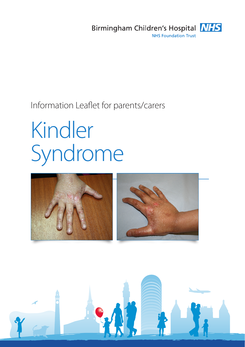

Information Leaflet for parents/carers

# Kindler Syndrome



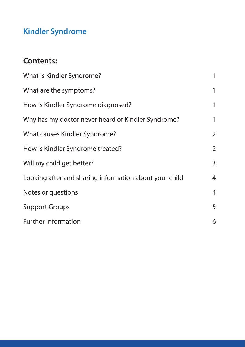# **Kindler Syndrome**

# **Contents:**

| What is Kindler Syndrome?                              | 1              |
|--------------------------------------------------------|----------------|
| What are the symptoms?                                 | 1              |
| How is Kindler Syndrome diagnosed?                     | 1              |
| Why has my doctor never heard of Kindler Syndrome?     | 1              |
| What causes Kindler Syndrome?                          | $\overline{2}$ |
| How is Kindler Syndrome treated?                       | $\overline{2}$ |
| Will my child get better?                              | 3              |
| Looking after and sharing information about your child | $\overline{4}$ |
| Notes or questions                                     | $\overline{4}$ |
| <b>Support Groups</b>                                  | 5              |
| <b>Further Information</b>                             | 6              |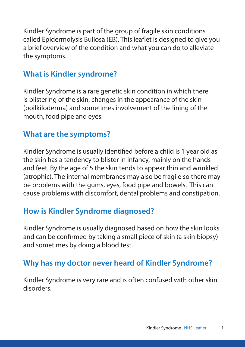Kindler Syndrome is part of the group of fragile skin conditions called Epidermolysis Bullosa (EB). This leaflet is designed to give you a brief overview of the condition and what you can do to alleviate the symptoms.

### **What is Kindler syndrome?**

Kindler Syndrome is a rare genetic skin condition in which there is blistering of the skin, changes in the appearance of the skin (poilkiloderma) and sometimes involvement of the lining of the mouth, food pipe and eyes.

#### **What are the symptoms?**

Kindler Syndrome is usually identified before a child is 1 year old as the skin has a tendency to blister in infancy, mainly on the hands and feet. By the age of 5 the skin tends to appear thin and wrinkled (atrophic). The internal membranes may also be fragile so there may be problems with the gums, eyes, food pipe and bowels. This can cause problems with discomfort, dental problems and constipation.

#### **How is Kindler Syndrome diagnosed?**

Kindler Syndrome is usually diagnosed based on how the skin looks and can be confirmed by taking a small piece of skin (a skin biopsy) and sometimes by doing a blood test.

## **Why has my doctor never heard of Kindler Syndrome?**

Kindler Syndrome is very rare and is often confused with other skin disorders.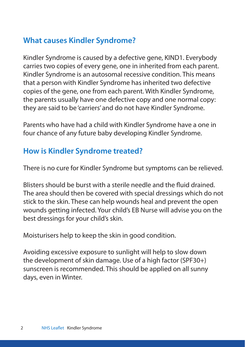# **What causes Kindler Syndrome?**

Kindler Syndrome is caused by a defective gene, KIND1. Everybody carries two copies of every gene, one in inherited from each parent. Kindler Syndrome is an autosomal recessive condition. This means that a person with Kindler Syndrome has inherited two defective copies of the gene, one from each parent. With Kindler Syndrome, the parents usually have one defective copy and one normal copy: they are said to be 'carriers' and do not have Kindler Syndrome.

Parents who have had a child with Kindler Syndrome have a one in four chance of any future baby developing Kindler Syndrome.

# **How is Kindler Syndrome treated?**

There is no cure for Kindler Syndrome but symptoms can be relieved.

Blisters should be burst with a sterile needle and the fluid drained. The area should then be covered with special dressings which do not stick to the skin. These can help wounds heal and prevent the open wounds getting infected. Your child's EB Nurse will advise you on the best dressings for your child's skin.

Moisturisers help to keep the skin in good condition.

Avoiding excessive exposure to sunlight will help to slow down the development of skin damage. Use of a high factor (SPF30+) sunscreen is recommended. This should be applied on all sunny days, even in Winter.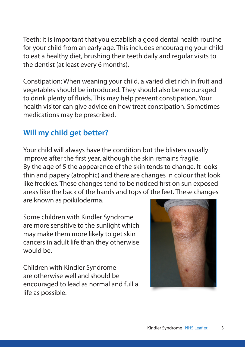Teeth: It is important that you establish a good dental health routine for your child from an early age. This includes encouraging your child to eat a healthy diet, brushing their teeth daily and regular visits to the dentist (at least every 6 months).

Constipation: When weaning your child, a varied diet rich in fruit and vegetables should be introduced. They should also be encouraged to drink plenty of fluids. This may help prevent constipation. Your health visitor can give advice on how treat constipation. Sometimes medications may be prescribed.

# **Will my child get better?**

Your child will always have the condition but the blisters usually improve after the first year, although the skin remains fragile. By the age of 5 the appearance of the skin tends to change. It looks thin and papery (atrophic) and there are changes in colour that look like freckles. These changes tend to be noticed first on sun exposed areas like the back of the hands and tops of the feet. These changes are known as poikiloderma.

Some children with Kindler Syndrome are more sensitive to the sunlight which may make them more likely to get skin cancers in adult life than they otherwise would be.

Children with Kindler Syndrome are otherwise well and should be encouraged to lead as normal and full a life as possible.

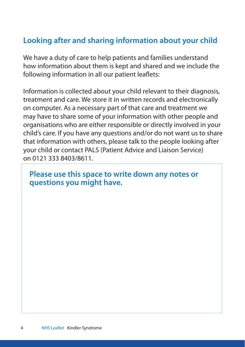# **Looking after and sharing information about your child**

We have a duty of care to help patients and families understand how information about them is kept and shared and we include the following information in all our patient leaflets:

Information is collected about your child relevant to their diagnosis, treatment and care. We store it in written records and electronically on computer. As a necessary part of that care and treatment we may have to share some of your information with other people and organisations who are either responsible or directly involved in your child's care. If you have any questions and/or do not want us to share that information with others, please talk to the people looking after your child or contact PALS (Patient Advice and Liaison Service) on 0121 333 8403/8611.

#### **Please use this space to write down any notes or questions you might have.**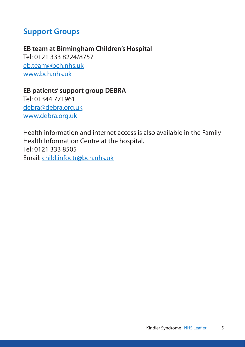#### **Support Groups**

**EB team at Birmingham Children's Hospital** Tel: 0121 333 8224/8757 eb.team@bch.nhs.uk www.bch.nhs.uk

**EB patients' support group DEBRA** Tel: 01344 771961 debra@debra.org.uk www.debra.org.uk

Health information and internet access is also available in the Family Health Information Centre at the hospital. Tel: 0121 333 8505 Email: child.infoctr@bch.nhs.uk